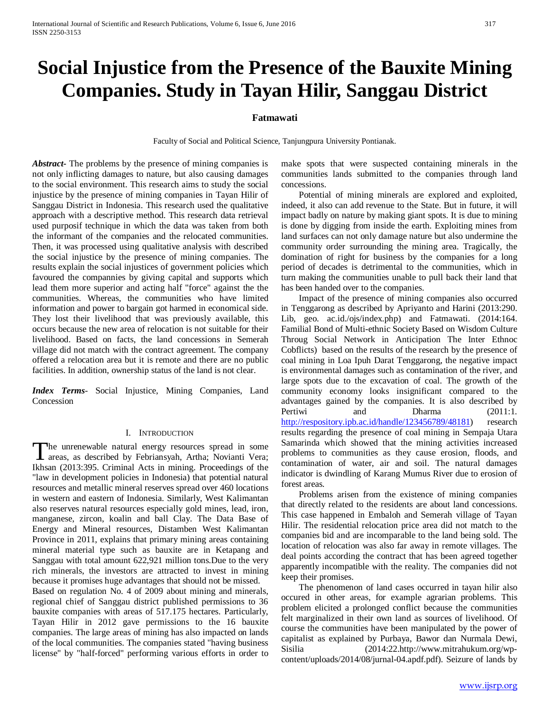# **Social Injustice from the Presence of the Bauxite Mining Companies. Study in Tayan Hilir, Sanggau District**

## **Fatmawati**

Faculty of Social and Political Science, Tanjungpura University Pontianak.

*Abstract***-** The problems by the presence of mining companies is not only inflicting damages to nature, but also causing damages to the social environment. This research aims to study the social injustice by the presence of mining companies in Tayan Hilir of Sanggau District in Indonesia. This research used the qualitative approach with a descriptive method. This research data retrieval used purposif technique in which the data was taken from both the informant of the companies and the relocated communities. Then, it was processed using qualitative analysis with described the social injustice by the presence of mining companies. The results explain the social injustices of government policies which favoured the compannies by giving capital and supports which lead them more superior and acting half "force" against the the communities. Whereas, the communities who have limited information and power to bargain got harmed in economical side. They lost their livelihood that was previously available, this occurs because the new area of relocation is not suitable for their livelihood. Based on facts, the land concessions in Semerah village did not match with the contract agreement. The company offered a relocation area but it is remote and there are no public facilities. In addition, ownership status of the land is not clear.

*Index Terms*- Social Injustice, Mining Companies, Land Concession

#### I. INTRODUCTION

The unrenewable natural energy resources spread in some The unrenewable natural energy resources spread in some areas, as described by Febriansyah, Artha; Novianti Vera; Ikhsan (2013:395. Criminal Acts in mining. Proceedings of the "law in development policies in Indonesia) that potential natural resources and metallic mineral reserves spread over 460 locations in western and eastern of Indonesia. Similarly, West Kalimantan also reserves natural resources especially gold mines, lead, iron, manganese, zircon, koalin and ball Clay. The Data Base of Energy and Mineral resources, Distamben West Kalimantan Province in 2011, explains that primary mining areas containing mineral material type such as bauxite are in Ketapang and Sanggau with total amount 622,921 million tons.Due to the very rich minerals, the investors are attracted to invest in mining because it promises huge advantages that should not be missed.

Based on regulation No. 4 of 2009 about mining and minerals, regional chief of Sanggau district published permissions to 36 bauxite companies with areas of 517.175 hectares. Particularly, Tayan Hilir in 2012 gave permissions to the 16 bauxite companies. The large areas of mining has also impacted on lands of the local communities. The companies stated "having business license" by "half-forced" performing various efforts in order to make spots that were suspected containing minerals in the communities lands submitted to the companies through land concessions.

 Potential of mining minerals are explored and exploited, indeed, it also can add revenue to the State. But in future, it will impact badly on nature by making giant spots. It is due to mining is done by digging from inside the earth. Exploiting mines from land surfaces can not only damage nature but also undermine the community order surrounding the mining area. Tragically, the domination of right for business by the companies for a long period of decades is detrimental to the communities, which in turn making the communities unable to pull back their land that has been handed over to the companies.

 Impact of the presence of mining companies also occurred in Tenggarong as described by Apriyanto and Harini (2013:290. Lib, geo. ac.id./ojs/index.php) and Fatmawati. (2014:164. Familial Bond of Multi-ethnic Society Based on Wisdom Culture Throug Social Network in Anticipation The Inter Ethnoc Cobflicts) based on the results of the research by the presence of coal mining in Loa Ipuh Darat Tenggarong, the negative impact is environmental damages such as contamination of the river, and large spots due to the excavation of coal. The growth of the community economy looks insignificant compared to the advantages gained by the companies. It is also described by Pertiwi and Dharma (2011:1. [http://respository.ipb.ac.id/handle/123456789/48181\)](http://respository.ipb.ac.id/handle/123456789/48181) research results regarding the presence of coal mining in Sempaja Utara Samarinda which showed that the mining activities increased problems to communities as they cause erosion, floods, and contamination of water, air and soil. The natural damages indicator is dwindling of Karang Mumus River due to erosion of forest areas.

 Problems arisen from the existence of mining companies that directly related to the residents are about land concessions. This case happened in Embaloh and Semerah village of Tayan Hilir. The residential relocation price area did not match to the companies bid and are incomparable to the land being sold. The location of relocation was also far away in remote villages. The deal points according the contract that has been agreed together apparently incompatible with the reality. The companies did not keep their promises.

 The phenomenon of land cases occurred in tayan hilir also occured in other areas, for example agrarian problems. This problem elicited a prolonged conflict because the communities felt marginalized in their own land as sources of livelihood. Of course the communities have been manipulated by the power of capitalist as explained by Purbaya, Bawor dan Nurmala Dewi, Sisilia (2014:22.http://www.mitrahukum.org/wpcontent/uploads/2014/08/jurnal-04.apdf.pdf). Seizure of lands by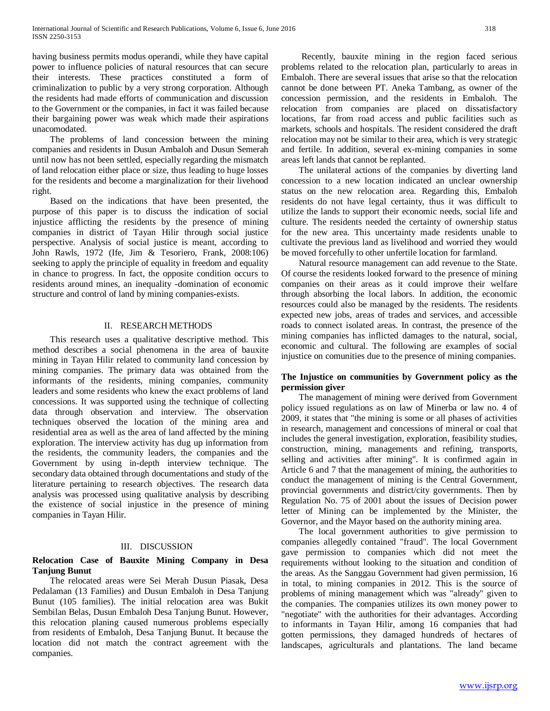having business permits modus operandi, while they have capital power to influence policies of natural resources that can secure their interests. These practices constituted a form of criminalization to public by a very strong corporation. Although the residents had made efforts of communication and discussion to the Government or the companies, in fact it was failed because their bargaining power was weak which made their aspirations unacomodated.

 The problems of land concession between the mining companies and residents in Dusun Ambaloh and Dusun Semerah until now has not been settled, especially regarding the mismatch of land relocation either place or size, thus leading to huge losses for the residents and become a marginalization for their livehood right.

 Based on the indications that have been presented, the purpose of this paper is to discuss the indication of social injustice afflicting the residents by the presence of mining companies in district of Tayan Hilir through social justice perspective. Analysis of social justice is meant, according to John Rawls, 1972 (Ife, Jim & Tesoriero, Frank, 2008:106) seeking to apply the principle of equality in freedom and equality in chance to progress. In fact, the opposite condition occurs to residents around mines, an inequality -domination of economic structure and control of land by mining companies-exists.

# II. RESEARCH METHODS

 This research uses a qualitative descriptive method. This method describes a social phenomena in the area of bauxite mining in Tayan Hilir related to community land concession by mining companies. The primary data was obtained from the informants of the residents, mining companies, community leaders and some residents who knew the exact problems of land concessions. It was supported using the technique of collecting data through observation and interview. The observation techniques observed the location of the mining area and residential area as well as the area of land affected by the mining exploration. The interview activity has dug up information from the residents, the community leaders, the companies and the Government by using in-depth interview technique. The secondary data obtained through documentations and study of the literature pertaining to research objectives. The research data analysis was processed using qualitative analysis by describing the existence of social injustice in the presence of mining companies in Tayan Hilir.

### III. DISCUSSION

### **Relocation Case of Bauxite Mining Company in Desa Tanjung Bunut**

 The relocated areas were Sei Merah Dusun Piasak, Desa Pedalaman (13 Families) and Dusun Embaloh in Desa Tanjung Bunut (105 families). The initial relocation area was Bukit Sembilan Belas, Dusun Embaloh Desa Tanjung Bunut. However, this relocation planing caused numerous problems especially from residents of Embaloh, Desa Tanjung Bunut. It because the location did not match the contract agreement with the companies.

 Recently, bauxite mining in the region faced serious problems related to the relocation plan, particularly to areas in Embaloh. There are several issues that arise so that the relocation cannot be done between PT. Aneka Tambang, as owner of the concession permission, and the residents in Embaloh. The relocation from companies are placed on dissatisfactory locations, far from road access and public facilities such as markets, schools and hospitals. The resident considered the draft relocation may not be similar to their area, which is very strategic and fertile. In addition, several ex-mining companies in some areas left lands that cannot be replanted.

 The unilateral actions of the companies by diverting land concession to a new location indicated an unclear ownership status on the new relocation area. Regarding this, Embaloh residents do not have legal certainty, thus it was difficult to utilize the lands to support their economic needs, social life and culture. The residents needed the certainty of ownership status for the new area. This uncertainty made residents unable to cultivate the previous land as livelihood and worried they would be moved forcefully to other unfertile location for farmland.

 Natural resource management can add revenue to the State. Of course the residents looked forward to the presence of mining companies on their areas as it could improve their welfare through absorbing the local labors. In addition, the economic resources could also be managed by the residents. The residents expected new jobs, areas of trades and services, and accessible roads to connect isolated areas. In contrast, the presence of the mining companies has inflicted damages to the natural, social, economic and cultural. The following are examples of social injustice on comunities due to the presence of mining companies.

# **The Injustice on communities by Government policy as the permission giver**

 The management of mining were derived from Government policy issued regulations as on law of Minerba or law no. 4 of 2009, it states that "the mining is some or all phases of activities in research, management and concessions of mineral or coal that includes the general investigation, exploration, feasibility studies, construction, mining, managements and refining, transports, selling and activities after mining". It is confirmed again in Article 6 and 7 that the management of mining, the authorities to conduct the management of mining is the Central Government, provincial governments and district/city governments. Then by Regulation No. 75 of 2001 about the issues of Decision power letter of Mining can be implemented by the Minister, the Governor, and the Mayor based on the authority mining area.

 The local government authorities to give permission to companies allegedly contained "fraud". The local Government gave permission to companies which did not meet the requirements without looking to the situation and condition of the areas. As the Sanggau Government had given permission, 16 in total, to mining companies in 2012. This is the source of problems of mining management which was "already" given to the companies. The companies utilizes its own money power to "negotiate" with the authorities for their advantages. According to informants in Tayan Hilir, among 16 companies that had gotten permissions, they damaged hundreds of hectares of landscapes, agriculturals and plantations. The land became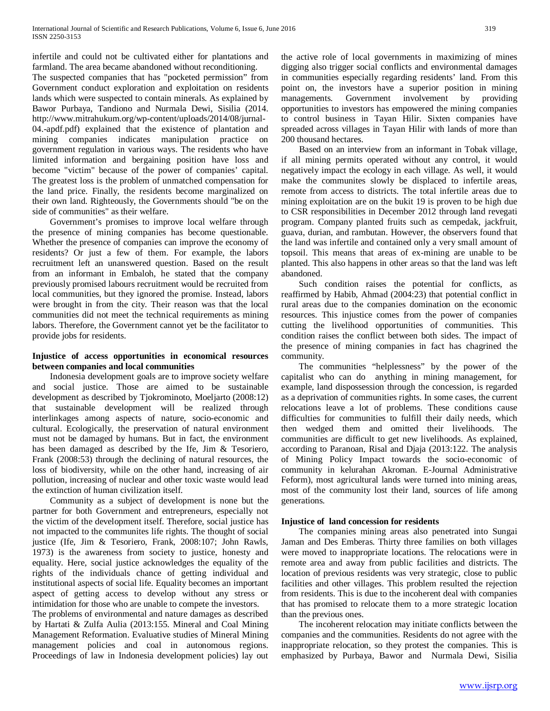infertile and could not be cultivated either for plantations and farmland. The area became abandoned without reconditioning.

The suspected companies that has "pocketed permission" from Government conduct exploration and exploitation on residents lands which were suspected to contain minerals. As explained by Bawor Purbaya, Tandiono and Nurmala Dewi, Sisilia (2014. http://www.mitrahukum.org/wp-content/uploads/2014/08/jurnal-04.-apdf.pdf) explained that the existence of plantation and mining companies indicates manipulation practice on government regulation in various ways. The residents who have limited information and bergaining position have loss and become "victim" because of the power of companies' capital. The greatest loss is the problem of unmatched compensation for the land price. Finally, the residents become marginalized on their own land. Righteously, the Governments should "be on the side of communities" as their welfare.

 Government's promises to improve local welfare through the presence of mining companies has become questionable. Whether the presence of companies can improve the economy of residents? Or just a few of them. For example, the labors recruitment left an unanswered question. Based on the result from an informant in Embaloh, he stated that the company previously promised labours recruitment would be recruited from local communities, but they ignored the promise. Instead, labors were brought in from the city. Their reason was that the local communities did not meet the technical requirements as mining labors. Therefore, the Government cannot yet be the facilitator to provide jobs for residents.

# **Injustice of access opportunities in economical resources between companies and local communities**

 Indonesia development goals are to improve society welfare and social justice. Those are aimed to be sustainable development as described by Tjokrominoto, Moeljarto (2008:12) that sustainable development will be realized through interlinkages among aspects of nature, socio-economic and cultural. Ecologically, the preservation of natural environment must not be damaged by humans. But in fact, the environment has been damaged as described by the Ife, Jim & Tesoriero, Frank (2008:53) through the declining of natural resources, the loss of biodiversity, while on the other hand, increasing of air pollution, increasing of nuclear and other toxic waste would lead the extinction of human civilization itself.

 Community as a subject of development is none but the partner for both Government and entrepreneurs, especially not the victim of the development itself. Therefore, social justice has not impacted to the communites life rights. The thought of social justice (Ife, Jim & Tesoriero, Frank, 2008:107; John Rawls, 1973) is the awareness from society to justice, honesty and equality. Here, social justice acknowledges the equality of the rights of the individuals chance of getting individual and institutional aspects of social life. Equality becomes an important aspect of getting access to develop without any stress or intimidation for those who are unable to compete the investors.

The problems of environmental and nature damages as described by Hartati & Zulfa Aulia (2013:155. Mineral and Coal Mining Management Reformation. Evaluative studies of Mineral Mining management policies and coal in autonomous regions. Proceedings of law in Indonesia development policies) lay out the active role of local governments in maximizing of mines digging also trigger social conflicts and environmental damages in communities especially regarding residents' land. From this point on, the investors have a superior position in mining managements. Government involvement by providing opportunities to investors has empowered the mining companies to control business in Tayan Hilir. Sixten companies have spreaded across villages in Tayan Hilir with lands of more than 200 thousand hectares.

 Based on an interview from an informant in Tobak village, if all mining permits operated without any control, it would negatively impact the ecology in each village. As well, it would make the communites slowly be displaced to infertile areas, remote from access to districts. The total infertile areas due to mining exploitation are on the bukit 19 is proven to be high due to CSR responsibilities in December 2012 through land revegati program. Company planted fruits such as cempedak, jackfruit, guava, durian, and rambutan. However, the observers found that the land was infertile and contained only a very small amount of topsoil. This means that areas of ex-mining are unable to be planted. This also happens in other areas so that the land was left abandoned.

 Such condition raises the potential for conflicts, as reaffirmed by Habib, Ahmad (2004:23) that potential conflict in rural areas due to the companies domination on the economic resources. This injustice comes from the power of companies cutting the livelihood opportunities of communities. This condition raises the conflict between both sides. The impact of the presence of mining companies in fact has chagrined the community.

 The communities "helplessness" by the power of the capitalist who can do anything in mining management, for example, land dispossession through the concession, is regarded as a deprivation of communities rights. In some cases, the current relocations leave a lot of problems. These conditions cause difficulties for communities to fulfill their daily needs, which then wedged them and omitted their livelihoods. The communities are difficult to get new livelihoods. As explained, according to Paranoan, Risal and Djaja (2013:122. The analysis of Mining Policy Impact towards the socio-economic of community in kelurahan Akroman. E-Journal Administrative Feform), most agricultural lands were turned into mining areas, most of the community lost their land, sources of life among generations.

### **Injustice of land concession for residents**

 The companies mining areas also penetrated into Sungai Jaman and Des Emberas. Thirty three families on both villages were moved to inappropriate locations. The relocations were in remote area and away from public facilities and districts. The location of previous residents was very strategic, close to public facilities and other villages. This problem resulted the rejection from residents. This is due to the incoherent deal with companies that has promised to relocate them to a more strategic location than the previous ones.

 The incoherent relocation may initiate conflicts between the companies and the communities. Residents do not agree with the inappropriate relocation, so they protest the companies. This is emphasized by Purbaya, Bawor and Nurmala Dewi, Sisilia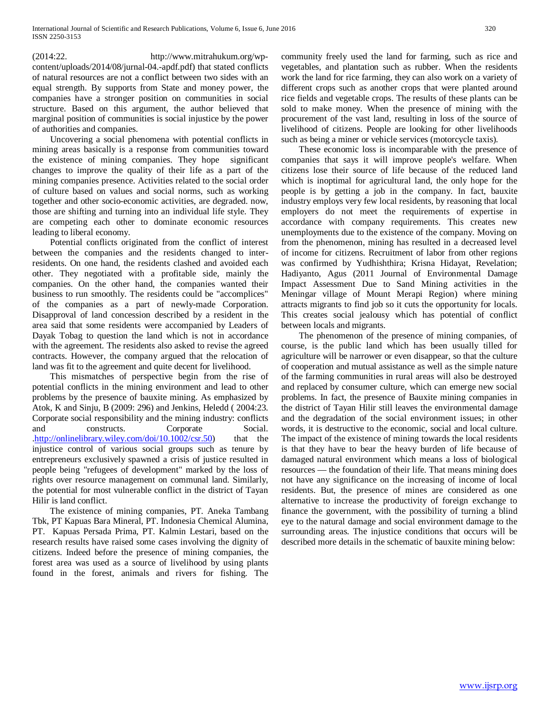(2014:22. http://www.mitrahukum.org/wpcontent/uploads/2014/08/jurnal-04.-apdf.pdf) that stated conflicts of natural resources are not a conflict between two sides with an equal strength. By supports from State and money power, the companies have a stronger position on communities in social structure. Based on this argument, the author believed that marginal position of communities is social injustice by the power of authorities and companies.

 Uncovering a social phenomena with potential conflicts in mining areas basically is a response from communities toward the existence of mining companies. They hope significant changes to improve the quality of their life as a part of the mining companies presence. Activities related to the social order of culture based on values and social norms, such as working together and other socio-economic activities, are degraded. now, those are shifting and turning into an individual life style. They are competing each other to dominate economic resources leading to liberal economy.

 Potential conflicts originated from the conflict of interest between the companies and the residents changed to interresidents. On one hand, the residents clashed and avoided each other. They negotiated with a profitable side, mainly the companies. On the other hand, the companies wanted their business to run smoothly. The residents could be "accomplices" of the companies as a part of newly-made Corporation. Disapproval of land concession described by a resident in the area said that some residents were accompanied by Leaders of Dayak Tobag to question the land which is not in accordance with the agreement. The residents also asked to revise the agreed contracts. However, the company argued that the relocation of land was fit to the agreement and quite decent for livelihood.

 This mismatches of perspective begin from the rise of potential conflicts in the mining environment and lead to other problems by the presence of bauxite mining. As emphasized by Atok, K and Sinju, B (2009: 296) and Jenkins, Heledd ( 2004:23. Corporate social responsibility and the mining industry: conflicts and constructs. Corporate Social. [.http://onlinelibrary.wiley.com/doi/10.1002/csr.50\)](http://onlinelibrary.wiley.com/doi/10.1002/csr.50) that the injustice control of various social groups such as tenure by entrepreneurs exclusively spawned a crisis of justice resulted in people being "refugees of development" marked by the loss of rights over resource management on communal land. Similarly, the potential for most vulnerable conflict in the district of Tayan Hilir is land conflict.

 The existence of mining companies, PT. Aneka Tambang Tbk, PT Kapuas Bara Mineral, PT. Indonesia Chemical Alumina, PT. Kapuas Persada Prima, PT. Kalmin Lestari, based on the research results have raised some cases involving the dignity of citizens. Indeed before the presence of mining companies, the forest area was used as a source of livelihood by using plants found in the forest, animals and rivers for fishing. The community freely used the land for farming, such as rice and vegetables, and plantation such as rubber. When the residents work the land for rice farming, they can also work on a variety of different crops such as another crops that were planted around rice fields and vegetable crops. The results of these plants can be sold to make money. When the presence of mining with the procurement of the vast land, resulting in loss of the source of livelihood of citizens. People are looking for other livelihoods such as being a miner or vehicle services (motorcycle taxis).

 These economic loss is incomparable with the presence of companies that says it will improve people's welfare. When citizens lose their source of life because of the reduced land which is inoptimal for agricultural land, the only hope for the people is by getting a job in the company. In fact, bauxite industry employs very few local residents, by reasoning that local employers do not meet the requirements of expertise in accordance with company requirements. This creates new unemployments due to the existence of the company. Moving on from the phenomenon, mining has resulted in a decreased level of income for citizens. Recruitment of labor from other regions was confirmed by Yudhishthira; Krisna Hidayat, Revelation; Hadiyanto, Agus (2011 Journal of Environmental Damage Impact Assessment Due to Sand Mining activities in the Meningar village of Mount Merapi Region) where mining attracts migrants to find job so it cuts the opportunity for locals. This creates social jealousy which has potential of conflict between locals and migrants.

 The phenomenon of the presence of mining companies, of course, is the public land which has been usually tilled for agriculture will be narrower or even disappear, so that the culture of cooperation and mutual assistance as well as the simple nature of the farming communities in rural areas will also be destroyed and replaced by consumer culture, which can emerge new social problems. In fact, the presence of Bauxite mining companies in the district of Tayan Hilir still leaves the environmental damage and the degradation of the social environment issues; in other words, it is destructive to the economic, social and local culture. The impact of the existence of mining towards the local residents is that they have to bear the heavy burden of life because of damaged natural environment which means a loss of biological resources — the foundation of their life. That means mining does not have any significance on the increasing of income of local residents. But, the presence of mines are considered as one alternative to increase the productivity of foreign exchange to finance the government, with the possibility of turning a blind eye to the natural damage and social environment damage to the surrounding areas. The injustice conditions that occurs will be described more details in the schematic of bauxite mining below: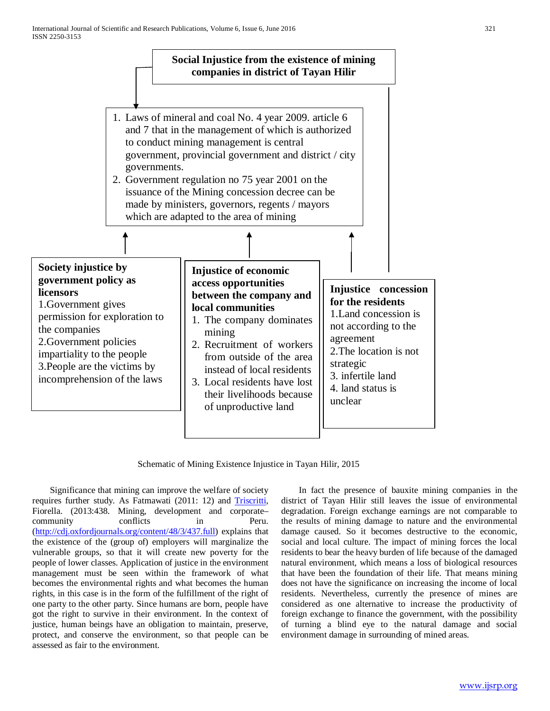

Schematic of Mining Existence Injustice in Tayan Hilir, 2015

 Significance that mining can improve the welfare of society requires further study. As Fatmawati (2011: 12) and Triscritti, Fiorella. (2013:438. Mining, development and corporate– community conflicts in Peru. [\(http://cdj.oxfordjournals.org/content/48/3/437.full\)](http://cdj.oxfordjournals.org/content/48/3/437.full) explains that the existence of the (group of) employers will marginalize the vulnerable groups, so that it will create new poverty for the people of lower classes. Application of justice in the environment management must be seen within the framework of what becomes the environmental rights and what becomes the human rights, in this case is in the form of the fulfillment of the right of one party to the other party. Since humans are born, people have got the right to survive in their environment. In the context of justice, human beings have an obligation to maintain, preserve, protect, and conserve the environment, so that people can be assessed as fair to the environment.

 In fact the presence of bauxite mining companies in the district of Tayan Hilir still leaves the issue of environmental degradation. Foreign exchange earnings are not comparable to the results of mining damage to nature and the environmental damage caused. So it becomes destructive to the economic, social and local culture. The impact of mining forces the local residents to bear the heavy burden of life because of the damaged natural environment, which means a loss of biological resources that have been the foundation of their life. That means mining does not have the significance on increasing the income of local residents. Nevertheless, currently the presence of mines are considered as one alternative to increase the productivity of foreign exchange to finance the government, with the possibility of turning a blind eye to the natural damage and social environment damage in surrounding of mined areas.